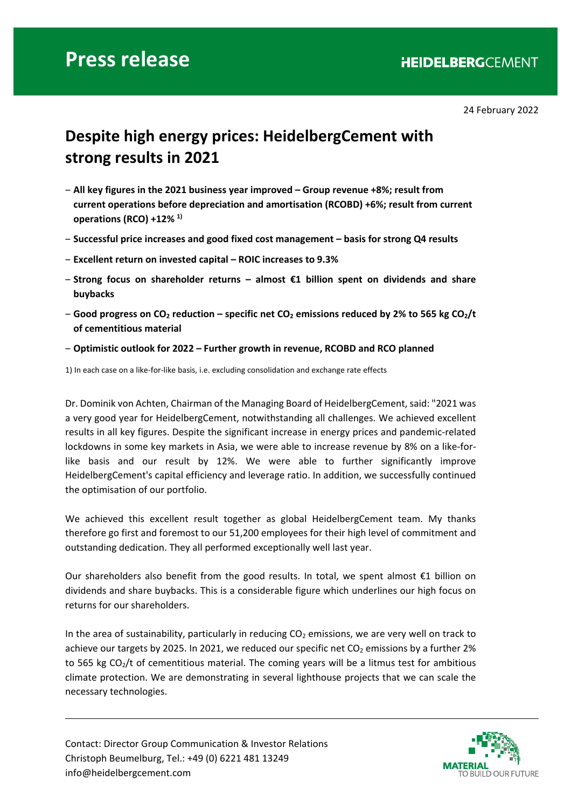# **Press release**

24 February 2022

## **Despite high energy prices: HeidelbergCement with strong results in 2021**

- ‒ **All key figures in the 2021 business year improved Group revenue +8%; result from current operations before depreciation and amortisation (RCOBD) +6%; result from current operations (RCO) +12% 1)**
- ‒ **Successful price increases and good fixed cost management basis for strong Q4 results**
- ‒ **Excellent return on invested capital ROIC increases to 9.3%**
- ‒ **Strong focus on shareholder returns almost €1 billion spent on dividends and share buybacks**
- ‒ **Good progress on CO2 reduction specific net CO2 emissions reduced by 2% to 565 kg CO2/t of cementitious material**
- ‒ **Optimistic outlook for 2022 Further growth in revenue, RCOBD and RCO planned**

1) In each case on a like-for-like basis, i.e. excluding consolidation and exchange rate effects

Dr. Dominik von Achten, Chairman of the Managing Board of HeidelbergCement, said: "2021 was a very good year for HeidelbergCement, notwithstanding all challenges. We achieved excellent results in all key figures. Despite the significant increase in energy prices and pandemic‐related lockdowns in some key markets in Asia, we were able to increase revenue by 8% on a like-forlike basis and our result by 12%. We were able to further significantly improve HeidelbergCement's capital efficiency and leverage ratio. In addition, we successfully continued the optimisation of our portfolio.

We achieved this excellent result together as global HeidelbergCement team. My thanks therefore go first and foremost to our 51,200 employees for their high level of commitment and outstanding dedication. They all performed exceptionally well last year.

Our shareholders also benefit from the good results. In total, we spent almost  $\epsilon$ 1 billion on dividends and share buybacks. This is a considerable figure which underlines our high focus on returns for our shareholders.

In the area of sustainability, particularly in reducing  $CO<sub>2</sub>$  emissions, we are very well on track to achieve our targets by 2025. In 2021, we reduced our specific net  $CO<sub>2</sub>$  emissions by a further 2% to 565 kg  $CO<sub>2</sub>/t$  of cementitious material. The coming years will be a litmus test for ambitious climate protection. We are demonstrating in several lighthouse projects that we can scale the necessary technologies.

Contact: Director Group Communication & Investor Relations Christoph Beumelburg, Tel.: +49 (0) 6221 481 13249 info@heidelbergcement.com

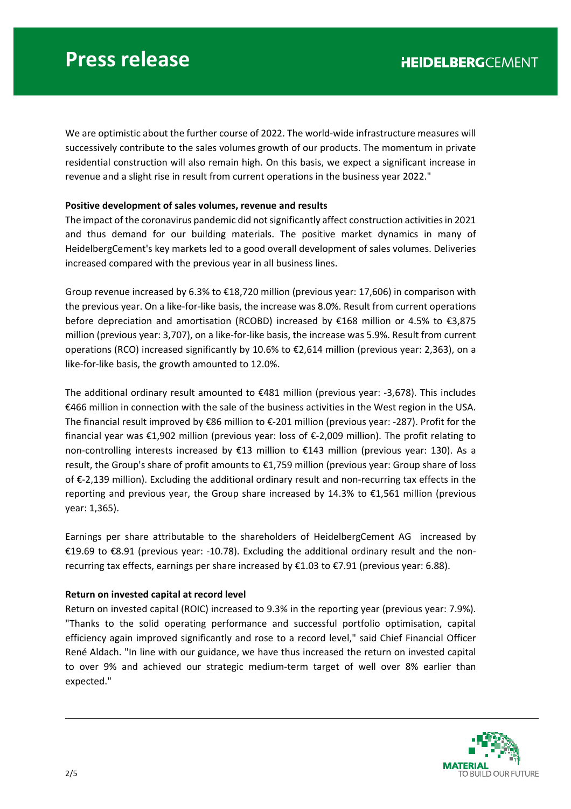We are optimistic about the further course of 2022. The world-wide infrastructure measures will successively contribute to the sales volumes growth of our products. The momentum in private residential construction will also remain high. On this basis, we expect a significant increase in revenue and a slight rise in result from current operations in the business year 2022."

## **Positive development of sales volumes, revenue and results**

The impact of the coronavirus pandemic did not significantly affect construction activities in 2021 and thus demand for our building materials. The positive market dynamics in many of HeidelbergCement's key markets led to a good overall development of sales volumes. Deliveries increased compared with the previous year in all business lines.

Group revenue increased by 6.3% to €18,720 million (previous year: 17,606) in comparison with the previous year. On a like‐for‐like basis, the increase was 8.0%. Result from current operations before depreciation and amortisation (RCOBD) increased by €168 million or 4.5% to €3,875 million (previous year: 3,707), on a like-for-like basis, the increase was 5.9%. Result from current operations (RCO) increased significantly by 10.6% to €2,614 million (previous year: 2,363), on a like-for-like basis, the growth amounted to 12.0%.

The additional ordinary result amounted to  $\epsilon$ 481 million (previous year: -3,678). This includes €466 million in connection with the sale of the business activities in the West region in the USA. The financial result improved by €86 million to €‐201 million (previous year: ‐287). Profit for the financial year was €1,902 million (previous year: loss of €‐2,009 million). The profit relating to non-controlling interests increased by €13 million to €143 million (previous year: 130). As a result, the Group's share of profit amounts to €1,759 million (previous year: Group share of loss of €‐2,139 million). Excluding the additional ordinary result and non‐recurring tax effects in the reporting and previous year, the Group share increased by 14.3% to €1,561 million (previous year: 1,365).

Earnings per share attributable to the shareholders of HeidelbergCement AG increased by €19.69 to €8.91 (previous year: ‐10.78). Excluding the additional ordinary result and the non‐ recurring tax effects, earnings per share increased by €1.03 to €7.91 (previous year: 6.88).

## **Return on invested capital at record level**

Return on invested capital (ROIC) increased to 9.3% in the reporting year (previous year: 7.9%). "Thanks to the solid operating performance and successful portfolio optimisation, capital efficiency again improved significantly and rose to a record level," said Chief Financial Officer René Aldach. "In line with our guidance, we have thus increased the return on invested capital to over 9% and achieved our strategic medium-term target of well over 8% earlier than expected."

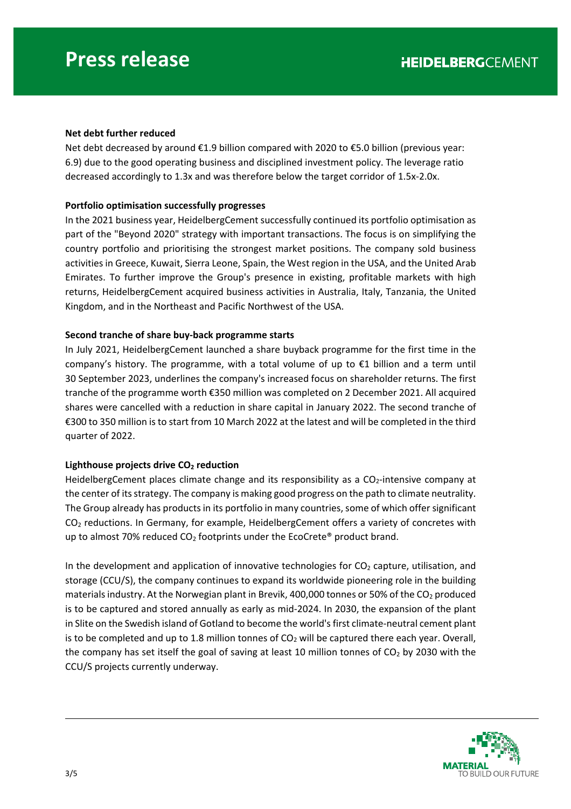## **Net debt further reduced**

Net debt decreased by around €1.9 billion compared with 2020 to €5.0 billion (previous year: 6.9) due to the good operating business and disciplined investment policy. The leverage ratio decreased accordingly to 1.3x and was therefore below the target corridor of 1.5x‐2.0x.

## **Portfolio optimisation successfully progresses**

In the 2021 business year, HeidelbergCement successfully continued its portfolio optimisation as part of the "Beyond 2020" strategy with important transactions. The focus is on simplifying the country portfolio and prioritising the strongest market positions. The company sold business activities in Greece, Kuwait, Sierra Leone, Spain, the West region in the USA, and the United Arab Emirates. To further improve the Group's presence in existing, profitable markets with high returns, HeidelbergCement acquired business activities in Australia, Italy, Tanzania, the United Kingdom, and in the Northeast and Pacific Northwest of the USA.

## **Second tranche of share buy‐back programme starts**

In July 2021, HeidelbergCement launched a share buyback programme for the first time in the company's history. The programme, with a total volume of up to  $\epsilon$ 1 billion and a term until 30 September 2023, underlines the company's increased focus on shareholder returns. The first tranche of the programme worth €350 million was completed on 2 December 2021. All acquired shares were cancelled with a reduction in share capital in January 2022. The second tranche of €300 to 350 million is to start from 10 March 2022 at the latest and will be completed in the third quarter of 2022.

## Lighthouse projects drive CO<sub>2</sub> reduction

HeidelbergCement places climate change and its responsibility as a  $CO<sub>2</sub>$ -intensive company at the center of its strategy. The company is making good progress on the path to climate neutrality. The Group already has products in its portfolio in many countries, some of which offer significant CO<sub>2</sub> reductions. In Germany, for example, HeidelbergCement offers a variety of concretes with up to almost 70% reduced  $CO<sub>2</sub>$  footprints under the EcoCrete® product brand.

In the development and application of innovative technologies for  $CO<sub>2</sub>$  capture, utilisation, and storage (CCU/S), the company continues to expand its worldwide pioneering role in the building materials industry. At the Norwegian plant in Brevik, 400,000 tonnes or 50% of the  $CO<sub>2</sub>$  produced is to be captured and stored annually as early as mid‐2024. In 2030, the expansion of the plant in Slite on the Swedish island of Gotland to become the world's first climate‐neutral cement plant is to be completed and up to 1.8 million tonnes of  $CO<sub>2</sub>$  will be captured there each year. Overall, the company has set itself the goal of saving at least 10 million tonnes of  $CO<sub>2</sub>$  by 2030 with the CCU/S projects currently underway.

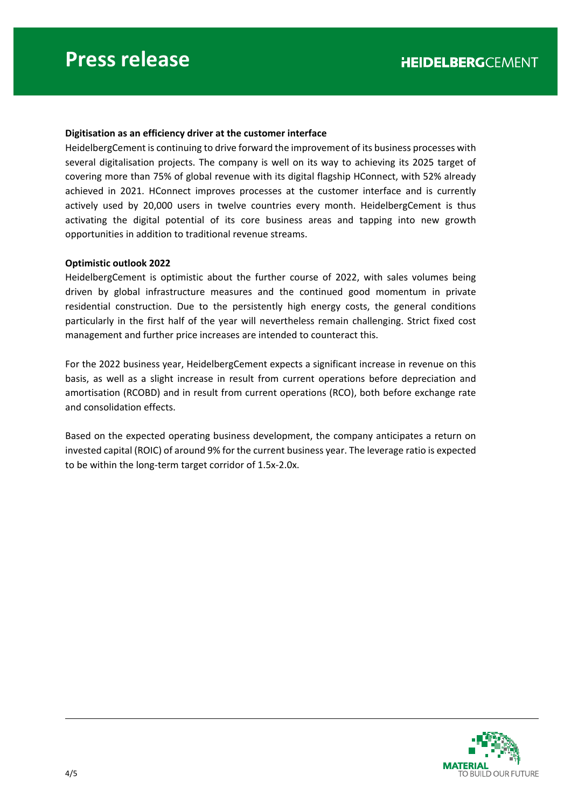### **Digitisation as an efficiency driver at the customer interface**

HeidelbergCement is continuing to drive forward the improvement of its business processes with several digitalisation projects. The company is well on its way to achieving its 2025 target of covering more than 75% of global revenue with its digital flagship HConnect, with 52% already achieved in 2021. HConnect improves processes at the customer interface and is currently actively used by 20,000 users in twelve countries every month. HeidelbergCement is thus activating the digital potential of its core business areas and tapping into new growth opportunities in addition to traditional revenue streams.

#### **Optimistic outlook 2022**

HeidelbergCement is optimistic about the further course of 2022, with sales volumes being driven by global infrastructure measures and the continued good momentum in private residential construction. Due to the persistently high energy costs, the general conditions particularly in the first half of the year will nevertheless remain challenging. Strict fixed cost management and further price increases are intended to counteract this.

For the 2022 business year, HeidelbergCement expects a significant increase in revenue on this basis, as well as a slight increase in result from current operations before depreciation and amortisation (RCOBD) and in result from current operations (RCO), both before exchange rate and consolidation effects.

Based on the expected operating business development, the company anticipates a return on invested capital (ROIC) of around 9% for the current business year. The leverage ratio is expected to be within the long‐term target corridor of 1.5x‐2.0x.